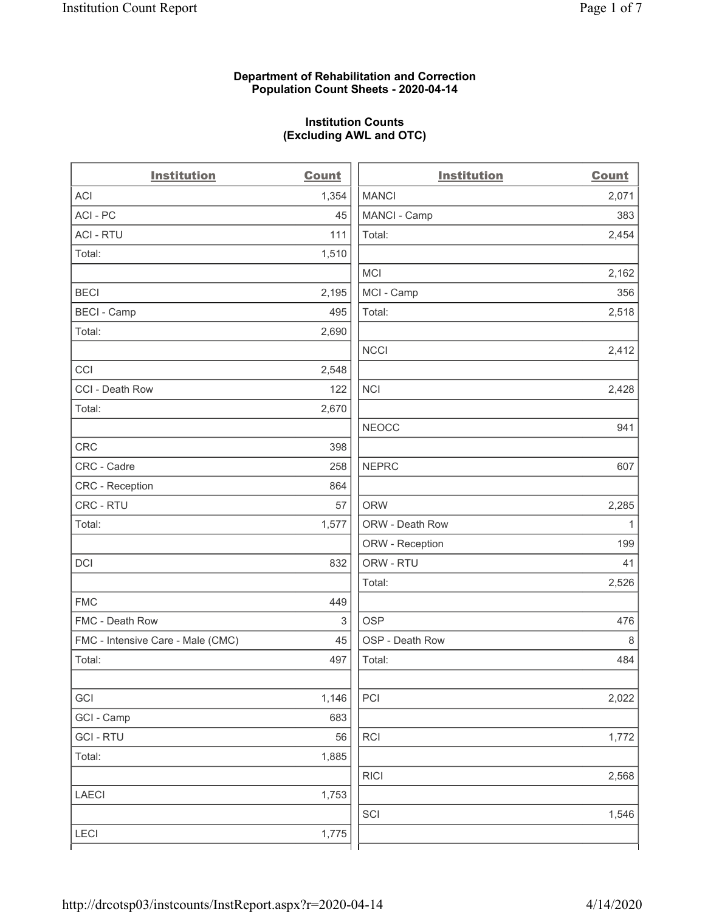### **Department of Rehabilitation and Correction Population Count Sheets - 2020-04-14**

# **Institution Counts (Excluding AWL and OTC)**

| <b>Institution</b>                | <b>Count</b> | <b>Institution</b> | <b>Count</b> |
|-----------------------------------|--------------|--------------------|--------------|
| ACI                               | 1,354        | <b>MANCI</b>       | 2,071        |
| ACI - PC                          | 45           | MANCI - Camp       | 383          |
| <b>ACI - RTU</b>                  | 111          | Total:             | 2,454        |
| Total:                            | 1,510        |                    |              |
|                                   |              | <b>MCI</b>         | 2,162        |
| <b>BECI</b>                       | 2,195        | MCI - Camp         | 356          |
| <b>BECI - Camp</b>                | 495          | Total:             | 2,518        |
| Total:                            | 2,690        |                    |              |
|                                   |              | <b>NCCI</b>        | 2,412        |
| CCI                               | 2,548        |                    |              |
| CCI - Death Row                   | 122          | NCI                | 2,428        |
| Total:                            | 2,670        |                    |              |
|                                   |              | <b>NEOCC</b>       | 941          |
| <b>CRC</b>                        | 398          |                    |              |
| CRC - Cadre                       | 258          | <b>NEPRC</b>       | 607          |
| CRC - Reception                   | 864          |                    |              |
| CRC - RTU                         | 57           | <b>ORW</b>         | 2,285        |
| Total:                            | 1,577        | ORW - Death Row    | 1            |
|                                   |              | ORW - Reception    | 199          |
| <b>DCI</b>                        | 832          | ORW - RTU          | 41           |
|                                   |              | Total:             | 2,526        |
| <b>FMC</b>                        | 449          |                    |              |
| FMC - Death Row                   | 3            | <b>OSP</b>         | 476          |
| FMC - Intensive Care - Male (CMC) | 45           | OSP - Death Row    | $\,8\,$      |
| Total:                            | 497          | Total:             | 484          |
|                                   |              |                    |              |
| GCI                               | 1,146        | PCI                | 2,022        |
| GCI - Camp                        | 683          |                    |              |
| <b>GCI-RTU</b>                    | 56           | RCI                | 1,772        |
| Total:                            | 1,885        |                    |              |
|                                   |              | <b>RICI</b>        | 2,568        |
| <b>LAECI</b>                      | 1,753        |                    |              |
|                                   |              | SCI                | 1,546        |
| <b>LECI</b>                       | 1,775        |                    |              |
|                                   |              |                    |              |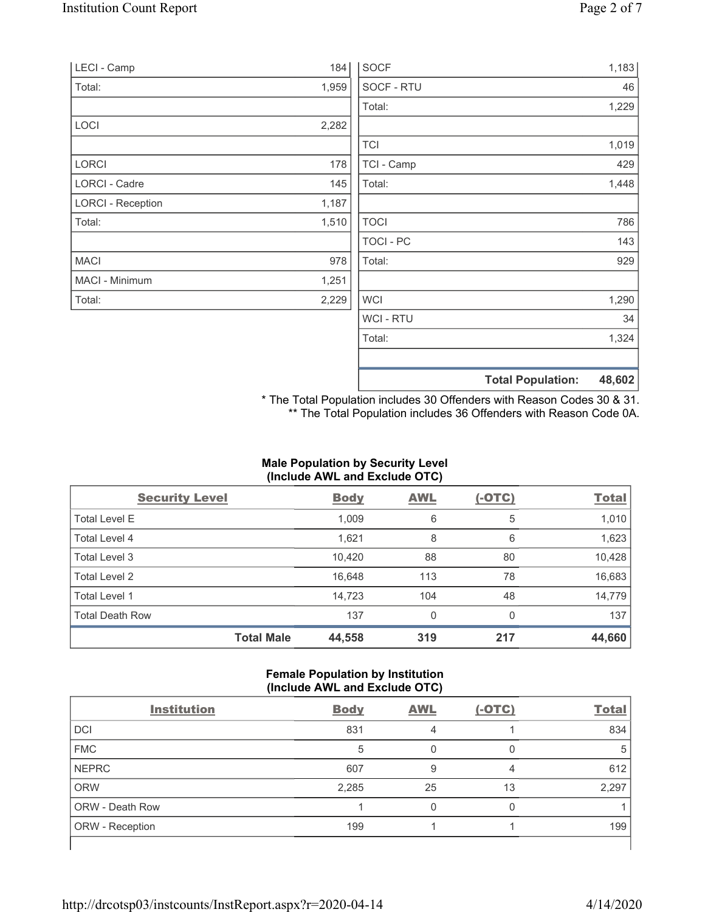| LECI - Camp              | 184   | <b>SOCF</b>    | 1,183                              |
|--------------------------|-------|----------------|------------------------------------|
| Total:                   | 1,959 | SOCF - RTU     | 46                                 |
|                          |       | Total:         | 1,229                              |
| LOCI                     | 2,282 |                |                                    |
|                          |       | <b>TCI</b>     | 1,019                              |
| <b>LORCI</b>             | 178   | TCI - Camp     | 429                                |
| <b>LORCI - Cadre</b>     | 145   | Total:         | 1,448                              |
| <b>LORCI - Reception</b> | 1,187 |                |                                    |
| Total:                   | 1,510 | <b>TOCI</b>    | 786                                |
|                          |       | TOCI - PC      | 143                                |
| <b>MACI</b>              | 978   | Total:         | 929                                |
| MACI - Minimum           | 1,251 |                |                                    |
| Total:                   | 2,229 | <b>WCI</b>     | 1,290                              |
|                          |       | <b>WCI-RTU</b> | 34                                 |
|                          |       | Total:         | 1,324                              |
|                          |       |                | 48,602<br><b>Total Population:</b> |

\* The Total Population includes 30 Offenders with Reason Codes 30 & 31. \*\* The Total Population includes 36 Offenders with Reason Code 0A.

## **Male Population by Security Level (Include AWL and Exclude OTC)**

| <b>Security Level</b>  |                   | <b>Body</b> | <b>AWL</b> | $(-OTC)$ | <b>Total</b> |
|------------------------|-------------------|-------------|------------|----------|--------------|
| <b>Total Level E</b>   |                   | 1,009       | 6          | 5        | 1,010        |
| Total Level 4          |                   | 1,621       | 8          | 6        | 1,623        |
| Total Level 3          |                   | 10,420      | 88         | 80       | 10,428       |
| Total Level 2          |                   | 16,648      | 113        | 78       | 16,683       |
| Total Level 1          |                   | 14,723      | 104        | 48       | 14,779       |
| <b>Total Death Row</b> |                   | 137         | 0          | $\Omega$ | 137          |
|                        | <b>Total Male</b> | 44,558      | 319        | 217      | 44,660       |

### **Female Population by Institution (Include AWL and Exclude OTC)**

| <b>Institution</b>     | <b>Body</b> | <b>AWL</b> | $(-OTC)$ | <b>Total</b> |
|------------------------|-------------|------------|----------|--------------|
| <b>DCI</b>             | 831         | 4          |          | 834          |
| <b>FMC</b>             | 5           |            |          | 5            |
| <b>NEPRC</b>           | 607         | 9          | 4        | 612          |
| <b>ORW</b>             | 2,285       | 25         | 13       | 2,297        |
| <b>ORW - Death Row</b> |             |            |          |              |
| ORW - Reception        | 199         |            |          | 199          |
|                        |             |            |          |              |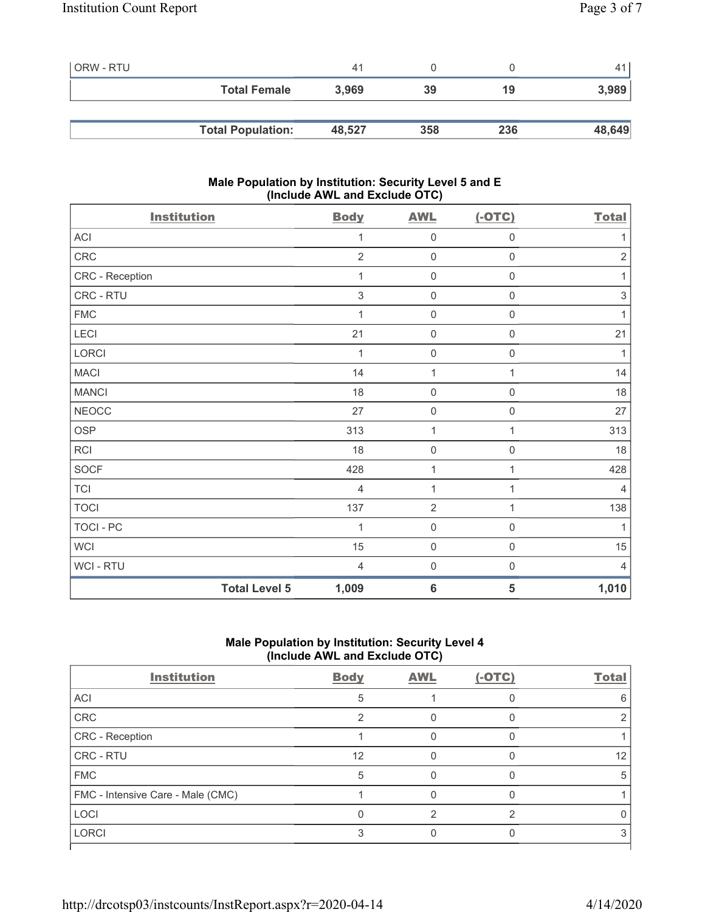| ORW - RTU |                          | 41     |     |     |        |
|-----------|--------------------------|--------|-----|-----|--------|
|           | <b>Total Female</b>      | 3.969  | 39  | 19  | 3,989  |
|           |                          |        |     |     |        |
|           | <b>Total Population:</b> | 48,527 | 358 | 236 | 48,649 |

### **Male Population by Institution: Security Level 5 and E (Include AWL and Exclude OTC)**

| <b>Institution</b> |                      | <b>Body</b>    | <b>AWL</b>       | $(-OTC)$            | <b>Total</b>              |
|--------------------|----------------------|----------------|------------------|---------------------|---------------------------|
| ACI                |                      | 1              | $\mathbf 0$      | $\boldsymbol{0}$    | 1                         |
| CRC                |                      | $\overline{2}$ | $\mathbf 0$      | $\mathsf{O}\xspace$ | $\sqrt{2}$                |
| CRC - Reception    |                      | 1              | $\mathbf 0$      | $\mathsf 0$         | 1                         |
| CRC - RTU          |                      | 3              | $\mathbf 0$      | $\boldsymbol{0}$    | $\ensuremath{\mathsf{3}}$ |
| <b>FMC</b>         |                      | $\mathbf{1}$   | $\boldsymbol{0}$ | $\mathbf 0$         | 1                         |
| LECI               |                      | 21             | $\mathbf 0$      | $\boldsymbol{0}$    | 21                        |
| LORCI              |                      | 1              | $\mathbf 0$      | $\mathsf{O}\xspace$ | 1                         |
| <b>MACI</b>        |                      | 14             | $\mathbf{1}$     | 1                   | 14                        |
| <b>MANCI</b>       |                      | 18             | $\mathbf 0$      | $\mathsf 0$         | $18$                      |
| <b>NEOCC</b>       |                      | 27             | $\mathbf 0$      | $\boldsymbol{0}$    | 27                        |
| <b>OSP</b>         |                      | 313            | 1                | 1                   | 313                       |
| <b>RCI</b>         |                      | 18             | $\mathbf 0$      | $\boldsymbol{0}$    | 18                        |
| <b>SOCF</b>        |                      | 428            | 1                | 1                   | 428                       |
| <b>TCI</b>         |                      | $\overline{4}$ | $\mathbf{1}$     | 1                   | $\overline{4}$            |
| <b>TOCI</b>        |                      | 137            | $\overline{2}$   | 1                   | 138                       |
| <b>TOCI - PC</b>   |                      | 1              | $\mathbf 0$      | $\mathbf 0$         | 1                         |
| <b>WCI</b>         |                      | 15             | $\boldsymbol{0}$ | $\mathbf 0$         | 15                        |
| WCI - RTU          |                      | $\overline{4}$ | $\mathbf 0$      | 0                   | $\overline{4}$            |
|                    | <b>Total Level 5</b> | 1,009          | $6\phantom{1}6$  | 5                   | 1,010                     |

## **Male Population by Institution: Security Level 4 (Include AWL and Exclude OTC)**

| <b>Institution</b>                | <b>Body</b> | <b>AWL</b> | $(-OTC)$ | <b>Total</b> |
|-----------------------------------|-------------|------------|----------|--------------|
| ACI                               | 5           |            |          |              |
| CRC                               |             |            |          |              |
| CRC - Reception                   |             |            |          |              |
| CRC - RTU                         | 12          |            |          | 12           |
| <b>FMC</b>                        | 5           |            |          | .h           |
| FMC - Intensive Care - Male (CMC) |             |            |          |              |
| <b>LOCI</b>                       |             |            | ⌒        |              |
| <b>LORCI</b>                      |             |            |          |              |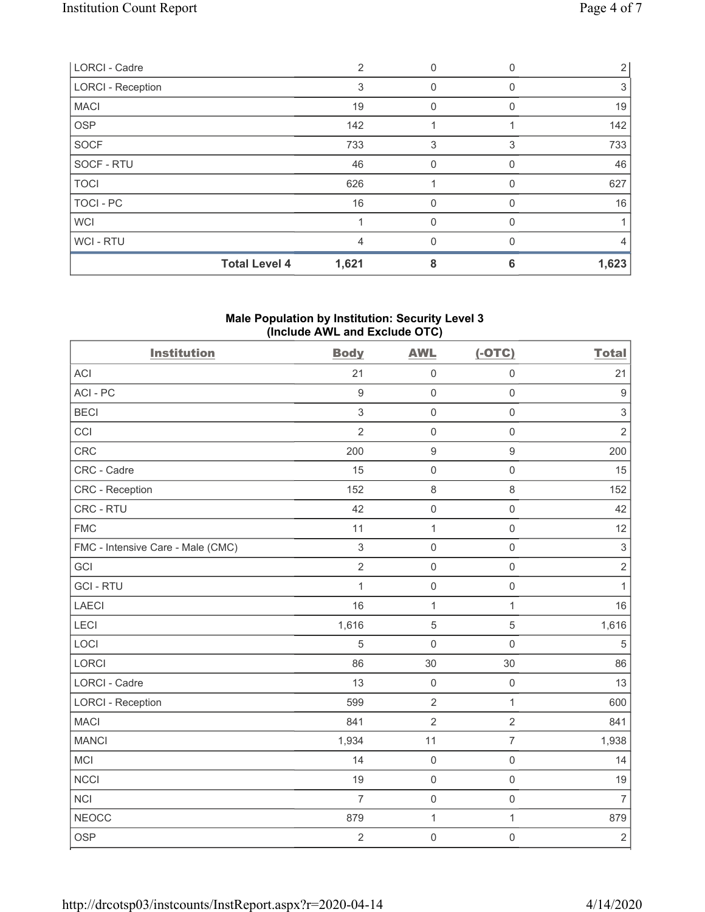| <b>LORCI - Cadre</b>     | $\mathcal{P}$ |          |   |       |
|--------------------------|---------------|----------|---|-------|
| <b>LORCI - Reception</b> | 3             | 0        |   | 3     |
| <b>MACI</b>              | 19            | 0        |   | 19    |
| <b>OSP</b>               | 142           |          |   | 142   |
| <b>SOCF</b>              | 733           | 3        | 3 | 733   |
| SOCF - RTU               | 46            | 0        |   | 46    |
| <b>TOCI</b>              | 626           |          |   | 627   |
| <b>TOCI - PC</b>         | 16            | $\Omega$ | 0 | 16    |
| <b>WCI</b>               |               | 0        |   |       |
| WCI - RTU                | 4             | 0        |   | 4     |
| <b>Total Level 4</b>     | 1,621         | 8        | 6 | 1,623 |

### **Male Population by Institution: Security Level 3 (Include AWL and Exclude OTC)**

| <b>Institution</b>                | <b>Body</b>      | <b>AWL</b>          | $(-OTC)$            | <b>Total</b>              |
|-----------------------------------|------------------|---------------------|---------------------|---------------------------|
| <b>ACI</b>                        | 21               | $\mathbf 0$         | $\mathbf 0$         | 21                        |
| ACI-PC                            | $\boldsymbol{9}$ | $\mathbf 0$         | $\mathsf{O}\xspace$ | $\overline{9}$            |
| <b>BECI</b>                       | 3                | $\mathbf 0$         | $\mathbf 0$         | $\,$ 3 $\,$               |
| CCI                               | $\overline{2}$   | $\mathsf{O}\xspace$ | $\mathbf 0$         | $\sqrt{2}$                |
| CRC                               | 200              | $\boldsymbol{9}$    | $\boldsymbol{9}$    | 200                       |
| CRC - Cadre                       | 15               | $\mathsf{O}\xspace$ | $\mathsf{O}\xspace$ | 15                        |
| CRC - Reception                   | 152              | $\,8\,$             | $\,8\,$             | 152                       |
| CRC - RTU                         | 42               | $\mathsf{O}\xspace$ | $\mathsf{O}\xspace$ | 42                        |
| <b>FMC</b>                        | 11               | $\mathbf{1}$        | $\mathsf{O}\xspace$ | 12                        |
| FMC - Intensive Care - Male (CMC) | $\,$ 3 $\,$      | $\mathsf{O}\xspace$ | $\mathbf 0$         | $\ensuremath{\mathsf{3}}$ |
| GCI                               | $\overline{2}$   | $\mathsf{O}\xspace$ | $\mathbf 0$         | $\sqrt{2}$                |
| <b>GCI-RTU</b>                    | $\mathbf{1}$     | $\mathsf{O}$        | $\mathsf{O}\xspace$ | $\mathbf{1}$              |
| LAECI                             | 16               | $\mathbf 1$         | $\mathbf{1}$        | 16                        |
| LECI                              | 1,616            | $\sqrt{5}$          | $\sqrt{5}$          | 1,616                     |
| LOCI                              | 5                | $\mathbf 0$         | $\mathsf{O}\xspace$ | $\sqrt{5}$                |
| LORCI                             | 86               | 30                  | 30                  | 86                        |
| LORCI - Cadre                     | 13               | $\mathbf 0$         | $\mathsf{O}$        | 13                        |
| <b>LORCI - Reception</b>          | 599              | $\overline{2}$      | $\mathbf{1}$        | 600                       |
| <b>MACI</b>                       | 841              | $\overline{2}$      | $\overline{2}$      | 841                       |
| <b>MANCI</b>                      | 1,934            | 11                  | $\overline{7}$      | 1,938                     |
| MCI                               | 14               | $\mathbf 0$         | $\mathsf{O}\xspace$ | 14                        |
| <b>NCCI</b>                       | 19               | $\mathbf 0$         | $\mathsf{O}\xspace$ | 19                        |
| <b>NCI</b>                        | $\overline{7}$   | $\mathsf{O}\xspace$ | $\mathsf{O}\xspace$ | $\overline{7}$            |
| <b>NEOCC</b>                      | 879              | $\mathbf 1$         | $\mathbf{1}$        | 879                       |
| <b>OSP</b>                        | $\overline{c}$   | $\mathsf{O}\xspace$ | $\mathbf 0$         | $\sqrt{2}$                |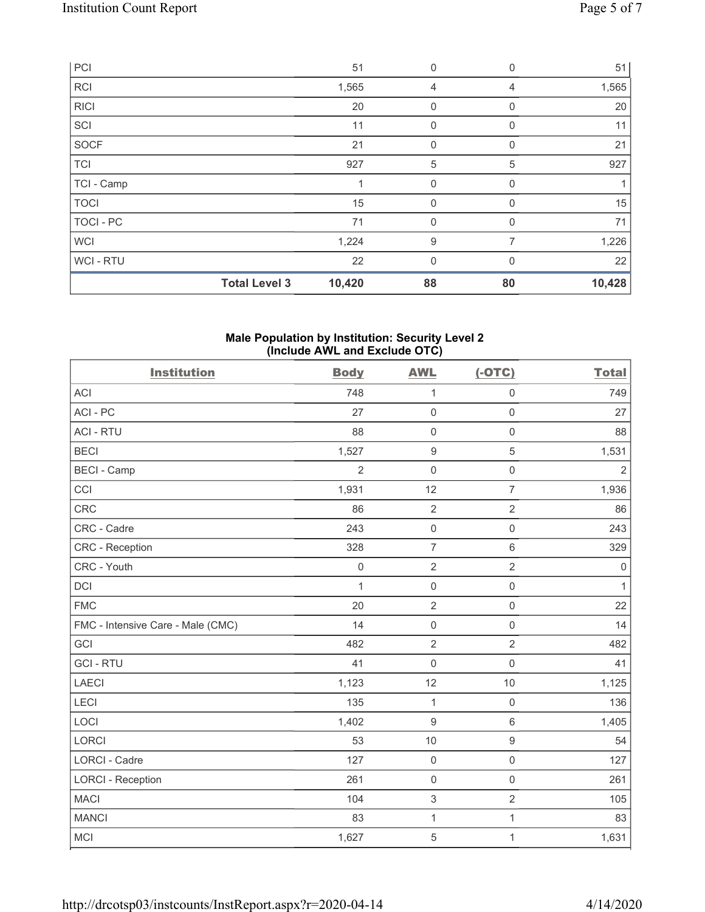| PCI              |                      | 51     | $\mathbf 0$  | $\mathbf 0$    | 51     |
|------------------|----------------------|--------|--------------|----------------|--------|
| <b>RCI</b>       |                      | 1,565  | 4            | $\overline{4}$ | 1,565  |
| <b>RICI</b>      |                      | 20     | $\mathbf 0$  | 0              | 20     |
| SCI              |                      | 11     | $\mathbf 0$  | 0              | 11     |
| <b>SOCF</b>      |                      | 21     | $\mathbf 0$  | $\Omega$       | 21     |
| <b>TCI</b>       |                      | 927    | 5            | 5              | 927    |
| TCI - Camp       |                      |        | 0            | 0              |        |
| <b>TOCI</b>      |                      | 15     | $\mathbf{0}$ | 0              | 15     |
| <b>TOCI - PC</b> |                      | 71     | $\mathbf 0$  | 0              | 71     |
| <b>WCI</b>       |                      | 1,224  | 9            | 7              | 1,226  |
| <b>WCI-RTU</b>   |                      | 22     | $\mathbf{0}$ | $\Omega$       | 22     |
|                  | <b>Total Level 3</b> | 10,420 | 88           | 80             | 10,428 |

#### **Male Population by Institution: Security Level 2 (Include AWL and Exclude OTC)**

| <b>Institution</b>                | <b>Body</b>    | <b>AWL</b>          | $(-OTC)$            | <b>Total</b>   |
|-----------------------------------|----------------|---------------------|---------------------|----------------|
| <b>ACI</b>                        | 748            | 1                   | $\mathsf{O}\xspace$ | 749            |
| ACI-PC                            | 27             | $\mathsf{O}\xspace$ | $\mathsf{O}\xspace$ | 27             |
| <b>ACI - RTU</b>                  | 88             | 0                   | $\mathsf 0$         | 88             |
| <b>BECI</b>                       | 1,527          | $\boldsymbol{9}$    | $\sqrt{5}$          | 1,531          |
| <b>BECI - Camp</b>                | $\overline{2}$ | $\mathbf 0$         | $\mathsf{O}\xspace$ | $\overline{2}$ |
| CCI                               | 1,931          | 12                  | $\overline{7}$      | 1,936          |
| <b>CRC</b>                        | 86             | $\sqrt{2}$          | $\overline{2}$      | 86             |
| CRC - Cadre                       | 243            | $\mathsf{O}\xspace$ | $\mathsf{O}\xspace$ | 243            |
| CRC - Reception                   | 328            | $\overline{7}$      | 6                   | 329            |
| CRC - Youth                       | $\mathbf 0$    | $\sqrt{2}$          | $\overline{2}$      | $\mathbf 0$    |
| <b>DCI</b>                        | $\mathbf{1}$   | $\mathsf{O}\xspace$ | $\mathsf{O}\xspace$ | $\mathbf{1}$   |
| <b>FMC</b>                        | 20             | $\overline{2}$      | $\mathsf{O}\xspace$ | 22             |
| FMC - Intensive Care - Male (CMC) | 14             | $\mathsf 0$         | $\mathsf{O}\xspace$ | 14             |
| GCI                               | 482            | $\overline{2}$      | $\overline{2}$      | 482            |
| <b>GCI-RTU</b>                    | 41             | $\mathsf{O}\xspace$ | $\mathsf{O}\xspace$ | 41             |
| <b>LAECI</b>                      | 1,123          | 12                  | 10                  | 1,125          |
| LECI                              | 135            | $\mathbf{1}$        | $\mathsf{O}\xspace$ | 136            |
| LOCI                              | 1,402          | $\boldsymbol{9}$    | $\,6\,$             | 1,405          |
| LORCI                             | 53             | $10$                | $\boldsymbol{9}$    | 54             |
| LORCI - Cadre                     | 127            | $\mathsf 0$         | $\mathsf{O}\xspace$ | 127            |
| <b>LORCI - Reception</b>          | 261            | $\mathbf 0$         | $\mathbf 0$         | 261            |
| <b>MACI</b>                       | 104            | $\,$ 3 $\,$         | $\overline{2}$      | 105            |
| <b>MANCI</b>                      | 83             | $\mathbf 1$         | $\mathbf{1}$        | 83             |
| <b>MCI</b>                        | 1,627          | 5                   | $\mathbf{1}$        | 1,631          |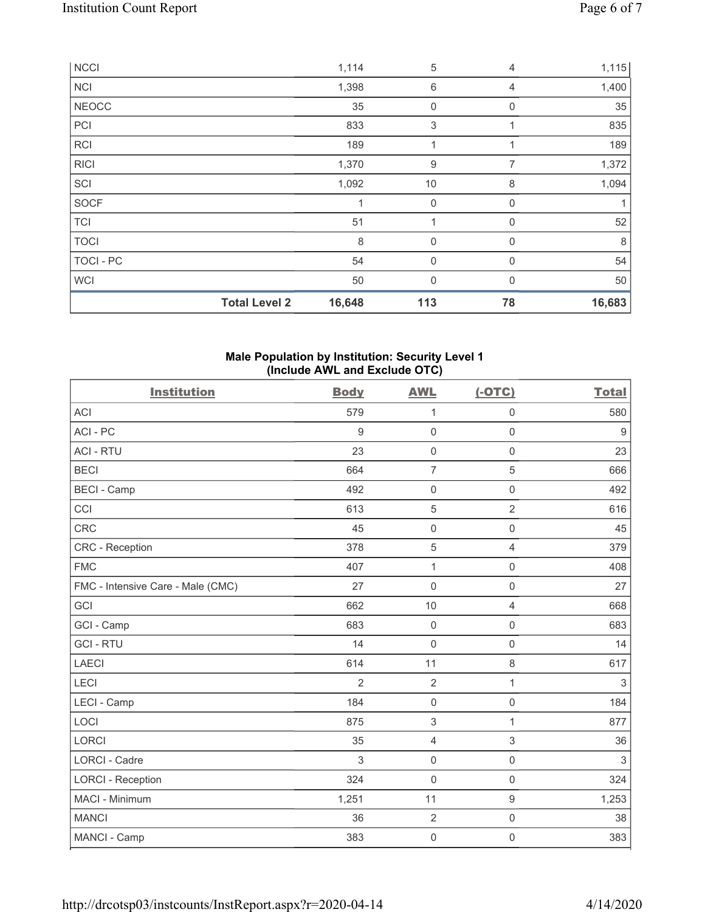|              | <b>Total Level 2</b> | 16,648 | 113              | 78           | 16,683 |
|--------------|----------------------|--------|------------------|--------------|--------|
| <b>WCI</b>   |                      | 50     | $\mathbf{0}$     | $\Omega$     | 50     |
| TOCI - PC    |                      | 54     | 0                | $\mathbf 0$  | 54     |
| <b>TOCI</b>  |                      | 8      | $\overline{0}$   | $\Omega$     | 8      |
| <b>TCI</b>   |                      | 51     |                  | 0            | 52     |
| <b>SOCF</b>  |                      |        | $\mathbf 0$      | 0            |        |
| SCI          |                      | 1,092  | 10               | 8            | 1,094  |
| <b>RICI</b>  |                      | 1,370  | $\boldsymbol{9}$ | 7            | 1,372  |
| <b>RCI</b>   |                      | 189    | 1                | 1            | 189    |
| PCI          |                      | 833    | 3                |              | 835    |
| <b>NEOCC</b> |                      | 35     | 0                | $\mathbf{0}$ | 35     |
| <b>NCI</b>   |                      | 1,398  | 6                | 4            | 1,400  |
| <b>NCCI</b>  |                      | 1,114  | 5                | 4            | 1,115  |

#### **Male Population by Institution: Security Level 1 (Include AWL and Exclude OTC)**

| <b>Institution</b>                | <b>Body</b> | <b>AWL</b>          | $(-OTC)$            | <b>Total</b>     |
|-----------------------------------|-------------|---------------------|---------------------|------------------|
| <b>ACI</b>                        | 579         | 1                   | $\mathsf 0$         | 580              |
| ACI-PC                            | 9           | $\mathsf{O}\xspace$ | $\mathsf{O}\xspace$ | $\boldsymbol{9}$ |
| <b>ACI - RTU</b>                  | 23          | $\mathbf 0$         | $\mathsf 0$         | 23               |
| <b>BECI</b>                       | 664         | $\overline{7}$      | 5                   | 666              |
| <b>BECI - Camp</b>                | 492         | $\mathsf{O}\xspace$ | $\mathbf 0$         | 492              |
| CCI                               | 613         | $\sqrt{5}$          | $\overline{2}$      | 616              |
| CRC                               | 45          | $\mathsf 0$         | $\mathsf 0$         | 45               |
| CRC - Reception                   | 378         | 5                   | $\overline{4}$      | 379              |
| <b>FMC</b>                        | 407         | $\mathbf{1}$        | $\mathsf{O}\xspace$ | 408              |
| FMC - Intensive Care - Male (CMC) | 27          | $\mathsf{O}\xspace$ | $\mathsf{O}\xspace$ | 27               |
| GCI                               | 662         | 10                  | $\overline{4}$      | 668              |
| GCI - Camp                        | 683         | $\mathsf{O}\xspace$ | 0                   | 683              |
| <b>GCI-RTU</b>                    | 14          | $\mathbf 0$         | $\mathbf 0$         | 14               |
| <b>LAECI</b>                      | 614         | 11                  | 8                   | 617              |
| LECI                              | 2           | $\overline{2}$      | $\mathbf{1}$        | $\sqrt{3}$       |
| LECI - Camp                       | 184         | $\mathbf 0$         | $\mathsf{O}\xspace$ | 184              |
| LOCI                              | 875         | 3                   | $\mathbf{1}$        | 877              |
| <b>LORCI</b>                      | 35          | $\overline{4}$      | $\mathfrak{S}$      | 36               |
| <b>LORCI - Cadre</b>              | 3           | $\mathsf{O}\xspace$ | $\mathsf 0$         | $\sqrt{3}$       |
| <b>LORCI - Reception</b>          | 324         | $\mathbf 0$         | $\mathbf 0$         | 324              |
| <b>MACI - Minimum</b>             | 1,251       | 11                  | $\boldsymbol{9}$    | 1,253            |
| <b>MANCI</b>                      | 36          | $\overline{2}$      | $\mathbf 0$         | 38               |
| MANCI - Camp                      | 383         | $\mathbf 0$         | 0                   | 383              |